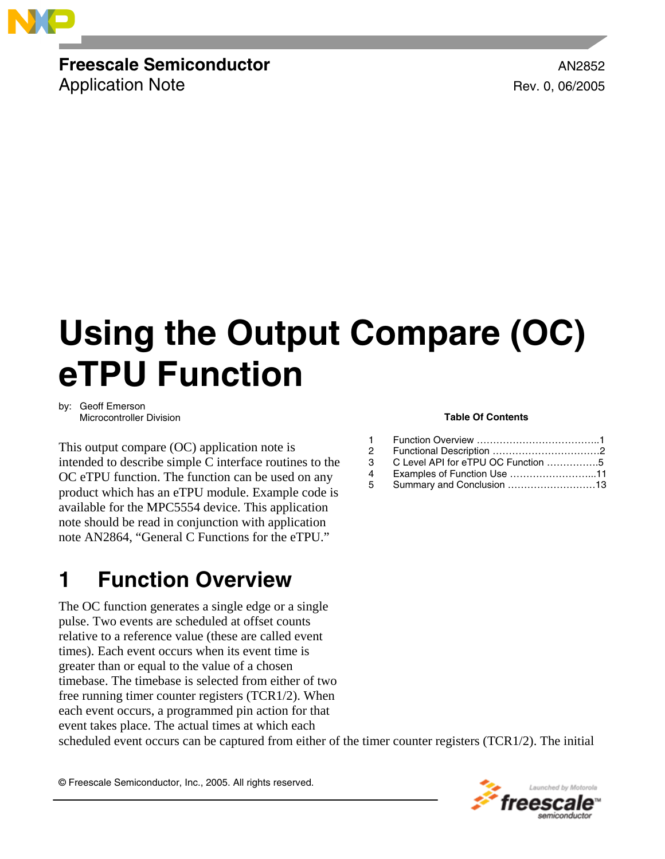

**Freescale Semiconductor** AN2852 Application Note Rev. 0, 06/2005

# **Using the Output Compare (OC) eTPU Function**

by: Geoff Emerson Microcontroller Division

This output compare (OC) application note is intended to describe simple C interface routines to the OC eTPU function. The function can be used on any product which has an eTPU module. Example code is available for the MPC5554 device. This application note should be read in conjunction with application note AN2864, "General C Functions for the eTPU."

# **1 Function Overview**

The OC function generates a single edge or a single pulse. Two events are scheduled at offset counts relative to a reference value (these are called event times). Each event occurs when its event time is greater than or equal to the value of a chosen timebase. The timebase is selected from either of two free running timer counter registers (TCR1/2). When each event occurs, a programmed pin action for that event takes place. The actual times at which each

### **Table Of Contents**

|               | 3 C Level API for eTPU OC Function 5                                                                         |  |
|---------------|--------------------------------------------------------------------------------------------------------------|--|
| 4             |                                                                                                              |  |
| $\sim$ $\sim$ | $\Omega$ and $\Omega$ are seen to the set of $\Omega$ and $\Omega$ are all and $\Omega$ are all and $\Omega$ |  |

5 Summary and Conclusion ………………………13

scheduled event occurs can be captured from either of the timer counter registers (TCR1/2). The initial



© Freescale Semiconductor, Inc., 2005. All rights reserved.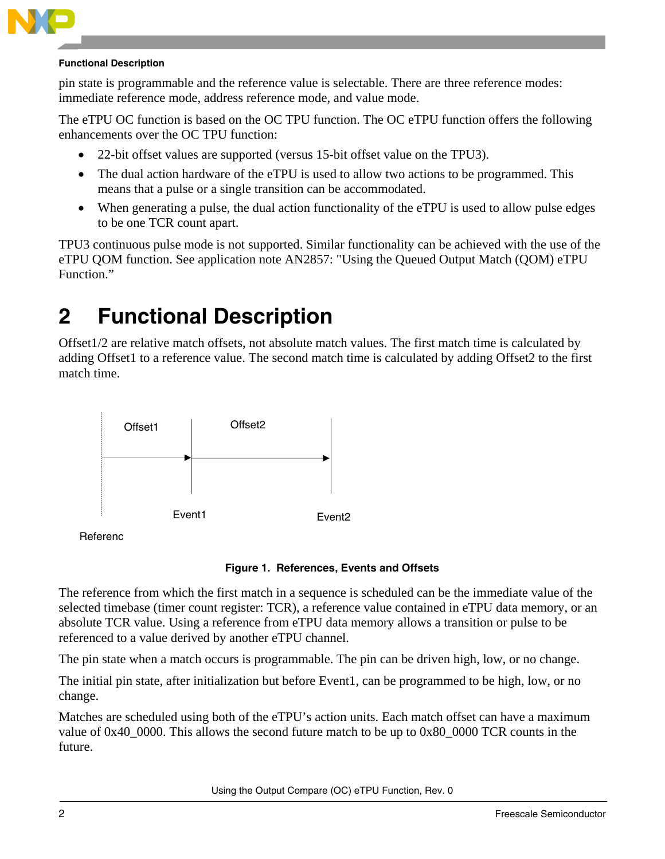

#### **Functional Description**

pin state is programmable and the reference value is selectable. There are three reference modes: immediate reference mode, address reference mode, and value mode.

The eTPU OC function is based on the OC TPU function. The OC eTPU function offers the following enhancements over the OC TPU function:

- 22-bit offset values are supported (versus 15-bit offset value on the TPU3).
- The dual action hardware of the eTPU is used to allow two actions to be programmed. This means that a pulse or a single transition can be accommodated.
- When generating a pulse, the dual action functionality of the eTPU is used to allow pulse edges to be one TCR count apart.

TPU3 continuous pulse mode is not supported. Similar functionality can be achieved with the use of the eTPU QOM function. See application note AN2857: "Using the Queued Output Match (QOM) eTPU Function."

# **2 Functional Description**

Offset1/2 are relative match offsets, not absolute match values. The first match time is calculated by adding Offset1 to a reference value. The second match time is calculated by adding Offset2 to the first match time.



Referenc

### **Figure 1. References, Events and Offsets**

The reference from which the first match in a sequence is scheduled can be the immediate value of the selected timebase (timer count register: TCR), a reference value contained in eTPU data memory, or an absolute TCR value. Using a reference from eTPU data memory allows a transition or pulse to be referenced to a value derived by another eTPU channel.

The pin state when a match occurs is programmable. The pin can be driven high, low, or no change.

The initial pin state, after initialization but before Event1, can be programmed to be high, low, or no change.

Matches are scheduled using both of the eTPU's action units. Each match offset can have a maximum value of 0x40\_0000. This allows the second future match to be up to 0x80\_0000 TCR counts in the future.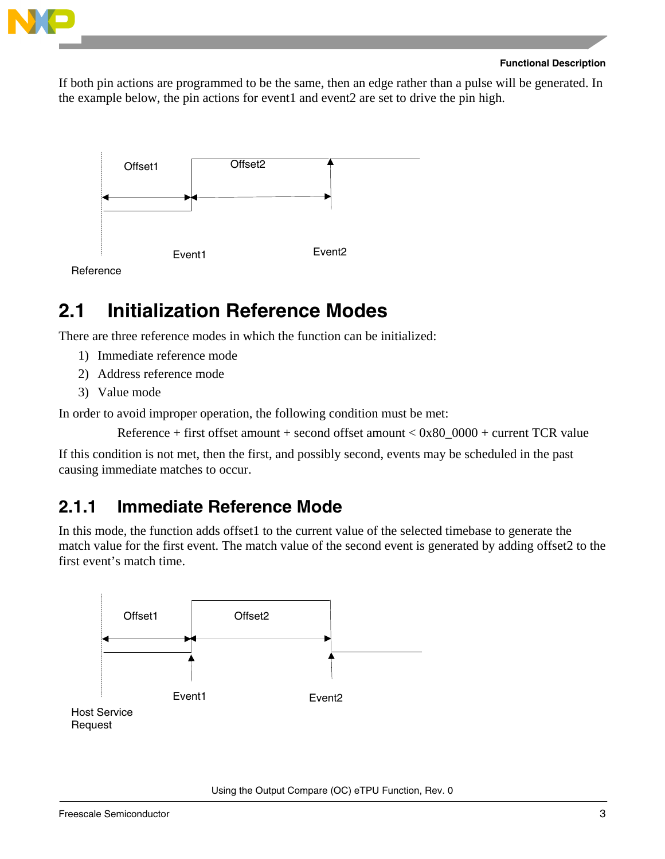

If both pin actions are programmed to be the same, then an edge rather than a pulse will be generated. In the example below, the pin actions for event1 and event2 are set to drive the pin high.



**Reference** 

### **2.1 Initialization Reference Modes**

There are three reference modes in which the function can be initialized:

- 1) Immediate reference mode
- 2) Address reference mode
- 3) Value mode

In order to avoid improper operation, the following condition must be met:

Reference + first offset amount + second offset amount  $< 0x80$  0000 + current TCR value

If this condition is not met, then the first, and possibly second, events may be scheduled in the past causing immediate matches to occur.

### **2.1.1 Immediate Reference Mode**

In this mode, the function adds offset1 to the current value of the selected timebase to generate the match value for the first event. The match value of the second event is generated by adding offset2 to the first event's match time.

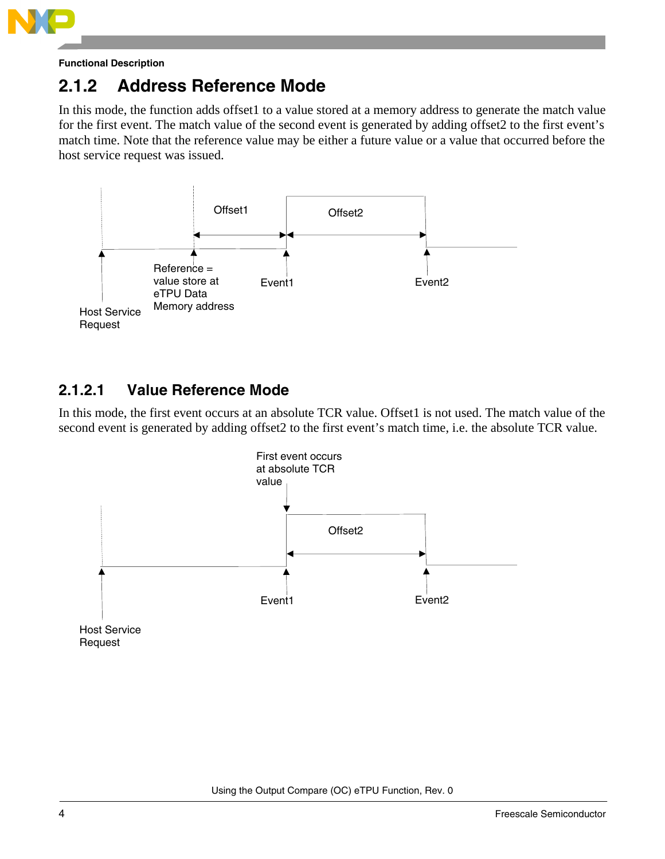

#### **Functional Description**

### **2.1.2 Address Reference Mode**

In this mode, the function adds offset1 to a value stored at a memory address to generate the match value for the first event. The match value of the second event is generated by adding offset2 to the first event's match time. Note that the reference value may be either a future value or a value that occurred before the host service request was issued.



### **2.1.2.1 Value Reference Mode**

In this mode, the first event occurs at an absolute TCR value. Offset1 is not used. The match value of the second event is generated by adding offset2 to the first event's match time, i.e. the absolute TCR value.

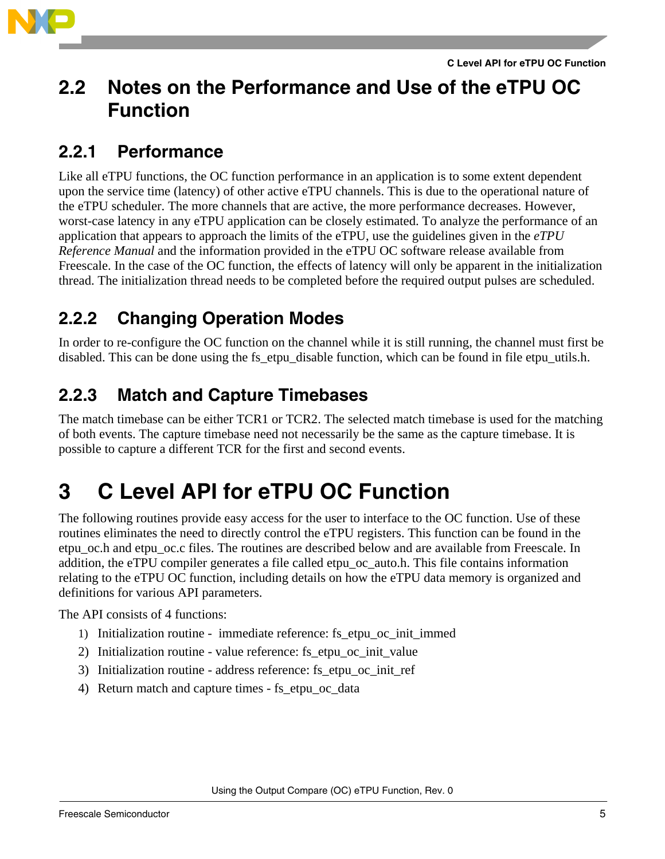

### **2.2 Notes on the Performance and Use of the eTPU OC Function**

### **2.2.1 Performance**

Like all eTPU functions, the OC function performance in an application is to some extent dependent upon the service time (latency) of other active eTPU channels. This is due to the operational nature of the eTPU scheduler. The more channels that are active, the more performance decreases. However, worst-case latency in any eTPU application can be closely estimated. To analyze the performance of an application that appears to approach the limits of the eTPU, use the guidelines given in the *eTPU Reference Manual* and the information provided in the eTPU OC software release available from Freescale. In the case of the OC function, the effects of latency will only be apparent in the initialization thread. The initialization thread needs to be completed before the required output pulses are scheduled.

### **2.2.2 Changing Operation Modes**

In order to re-configure the OC function on the channel while it is still running, the channel must first be disabled. This can be done using the fs\_etpu\_disable function, which can be found in file etpu\_utils.h.

### **2.2.3 Match and Capture Timebases**

The match timebase can be either TCR1 or TCR2. The selected match timebase is used for the matching of both events. The capture timebase need not necessarily be the same as the capture timebase. It is possible to capture a different TCR for the first and second events.

# **3 C Level API for eTPU OC Function**

The following routines provide easy access for the user to interface to the OC function. Use of these routines eliminates the need to directly control the eTPU registers. This function can be found in the etpu\_oc.h and etpu\_oc.c files. The routines are described below and are available from Freescale. In addition, the eTPU compiler generates a file called etpu\_oc\_auto.h. This file contains information relating to the eTPU OC function, including details on how the eTPU data memory is organized and definitions for various API parameters.

The API consists of 4 functions:

- 1) Initialization routine immediate reference: fs\_etpu\_oc\_init\_immed
- 2) Initialization routine value reference: fs\_etpu\_oc\_init\_value
- 3) Initialization routine address reference: fs\_etpu\_oc\_init\_ref
- 4) Return match and capture times fs\_etpu\_oc\_data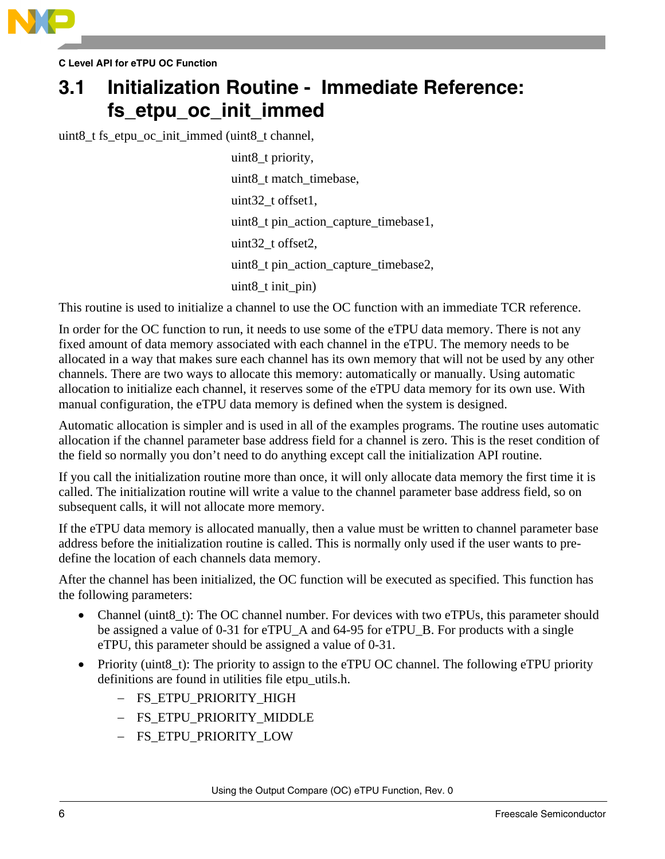

### **3.1 Initialization Routine - Immediate Reference: fs\_etpu\_oc\_init\_immed**

uint8\_t fs\_etpu\_oc\_init\_immed (uint8\_t channel,

uint8 t priority, uint8\_t match\_timebase, uint32\_t offset1, uint8\_t pin\_action\_capture\_timebase1, uint32 t offset2, uint8\_t pin\_action\_capture\_timebase2, uint8\_t init\_pin)

This routine is used to initialize a channel to use the OC function with an immediate TCR reference.

In order for the OC function to run, it needs to use some of the eTPU data memory. There is not any fixed amount of data memory associated with each channel in the eTPU. The memory needs to be allocated in a way that makes sure each channel has its own memory that will not be used by any other channels. There are two ways to allocate this memory: automatically or manually. Using automatic allocation to initialize each channel, it reserves some of the eTPU data memory for its own use. With manual configuration, the eTPU data memory is defined when the system is designed.

Automatic allocation is simpler and is used in all of the examples programs. The routine uses automatic allocation if the channel parameter base address field for a channel is zero. This is the reset condition of the field so normally you don't need to do anything except call the initialization API routine.

If you call the initialization routine more than once, it will only allocate data memory the first time it is called. The initialization routine will write a value to the channel parameter base address field, so on subsequent calls, it will not allocate more memory.

If the eTPU data memory is allocated manually, then a value must be written to channel parameter base address before the initialization routine is called. This is normally only used if the user wants to predefine the location of each channels data memory.

After the channel has been initialized, the OC function will be executed as specified. This function has the following parameters:

- Channel (uint8 t): The OC channel number. For devices with two eTPUs, this parameter should be assigned a value of 0-31 for eTPU\_A and 64-95 for eTPU\_B. For products with a single eTPU, this parameter should be assigned a value of 0-31.
- Priority (uint8\_t): The priority to assign to the eTPU OC channel. The following eTPU priority definitions are found in utilities file etpu\_utils.h.
	- − FS\_ETPU\_PRIORITY\_HIGH
	- − FS\_ETPU\_PRIORITY\_MIDDLE
	- − FS\_ETPU\_PRIORITY\_LOW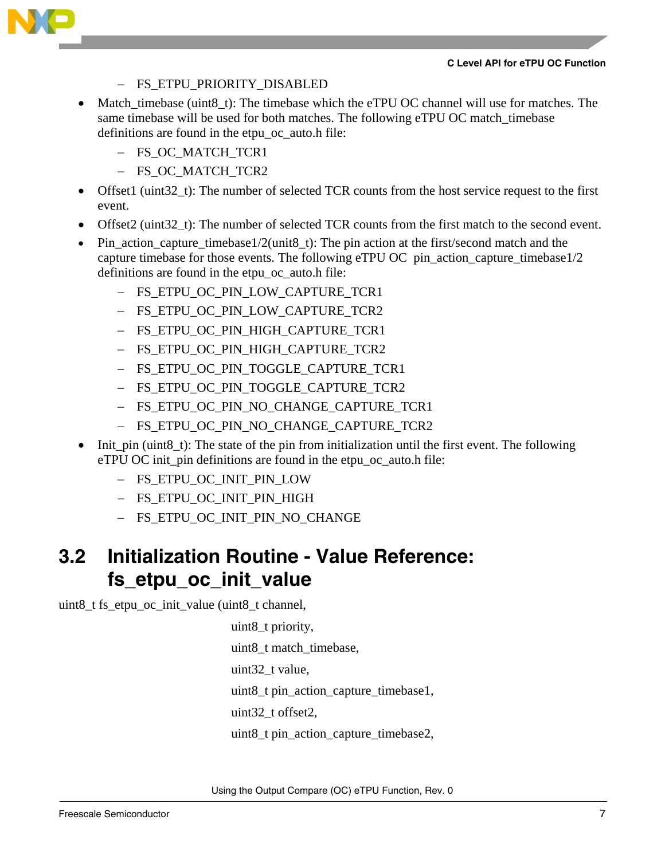

### − FS\_ETPU\_PRIORITY\_DISABLED

- Match timebase (uint8 t): The timebase which the eTPU OC channel will use for matches. The same timebase will be used for both matches. The following eTPU OC match timebase definitions are found in the etpu\_oc\_auto.h file:
	- − FS\_OC\_MATCH\_TCR1
	- − FS\_OC\_MATCH\_TCR2
- Offset1 (uint32\_t): The number of selected TCR counts from the host service request to the first event.
- Offset2 (uint32 t): The number of selected TCR counts from the first match to the second event.
- Pin action capture timebase1/2(unit8 t): The pin action at the first/second match and the capture timebase for those events. The following eTPU OC pin\_action\_capture\_timebase1/2 definitions are found in the etpu\_oc\_auto.h file:
	- − FS\_ETPU\_OC\_PIN\_LOW\_CAPTURE\_TCR1
	- − FS\_ETPU\_OC\_PIN\_LOW\_CAPTURE\_TCR2
	- − FS\_ETPU\_OC\_PIN\_HIGH\_CAPTURE\_TCR1
	- − FS\_ETPU\_OC\_PIN\_HIGH\_CAPTURE\_TCR2
	- − FS\_ETPU\_OC\_PIN\_TOGGLE\_CAPTURE\_TCR1
	- − FS\_ETPU\_OC\_PIN\_TOGGLE\_CAPTURE\_TCR2
	- − FS\_ETPU\_OC\_PIN\_NO\_CHANGE\_CAPTURE\_TCR1
	- − FS\_ETPU\_OC\_PIN\_NO\_CHANGE\_CAPTURE\_TCR2
- Init\_pin (uint8\_t): The state of the pin from initialization until the first event. The following eTPU OC init pin definitions are found in the etpu oc auto.h file:
	- − FS\_ETPU\_OC\_INIT\_PIN\_LOW
	- − FS\_ETPU\_OC\_INIT\_PIN\_HIGH
	- − FS\_ETPU\_OC\_INIT\_PIN\_NO\_CHANGE

### **3.2 Initialization Routine - Value Reference: fs\_etpu\_oc\_init\_value**

uint8\_t fs\_etpu\_oc\_init\_value (uint8\_t channel,

 uint8\_t priority, uint8 t match timebase, uint32\_t value, uint8\_t pin\_action\_capture\_timebase1, uint32 t offset2, uint8\_t pin\_action\_capture\_timebase2,

Using the Output Compare (OC) eTPU Function, Rev. 0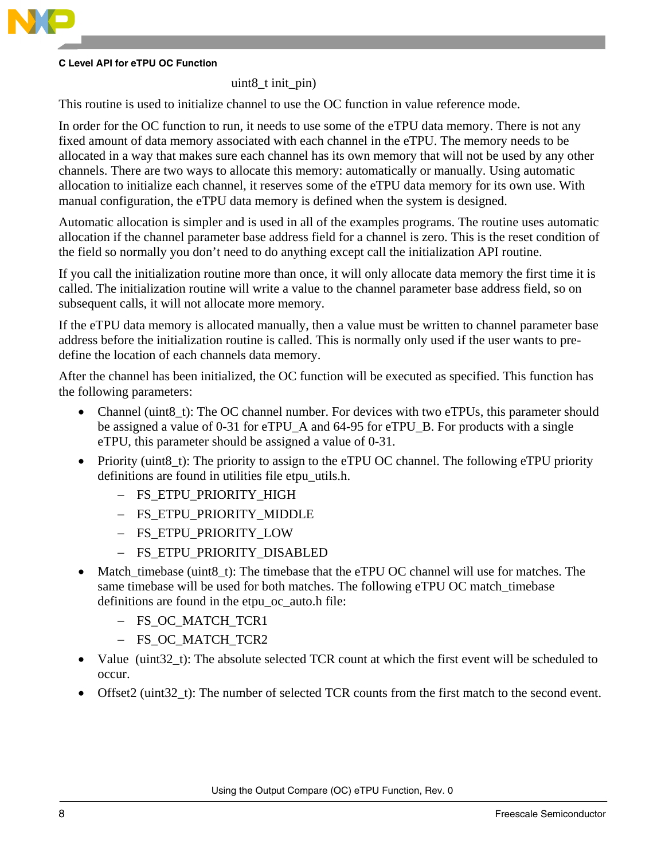

### uint8\_t init\_pin)

This routine is used to initialize channel to use the OC function in value reference mode.

In order for the OC function to run, it needs to use some of the eTPU data memory. There is not any fixed amount of data memory associated with each channel in the eTPU. The memory needs to be allocated in a way that makes sure each channel has its own memory that will not be used by any other channels. There are two ways to allocate this memory: automatically or manually. Using automatic allocation to initialize each channel, it reserves some of the eTPU data memory for its own use. With manual configuration, the eTPU data memory is defined when the system is designed.

Automatic allocation is simpler and is used in all of the examples programs. The routine uses automatic allocation if the channel parameter base address field for a channel is zero. This is the reset condition of the field so normally you don't need to do anything except call the initialization API routine.

If you call the initialization routine more than once, it will only allocate data memory the first time it is called. The initialization routine will write a value to the channel parameter base address field, so on subsequent calls, it will not allocate more memory.

If the eTPU data memory is allocated manually, then a value must be written to channel parameter base address before the initialization routine is called. This is normally only used if the user wants to predefine the location of each channels data memory.

After the channel has been initialized, the OC function will be executed as specified. This function has the following parameters:

- Channel (uint8\_t): The OC channel number. For devices with two eTPUs, this parameter should be assigned a value of 0-31 for eTPU A and 64-95 for eTPU B. For products with a single eTPU, this parameter should be assigned a value of 0-31.
- Priority (uint8 t): The priority to assign to the eTPU OC channel. The following eTPU priority definitions are found in utilities file etpu\_utils.h.
	- − FS\_ETPU\_PRIORITY\_HIGH
	- − FS\_ETPU\_PRIORITY\_MIDDLE
	- − FS\_ETPU\_PRIORITY\_LOW
	- − FS\_ETPU\_PRIORITY\_DISABLED
- Match timebase (uint8 t): The timebase that the eTPU OC channel will use for matches. The same timebase will be used for both matches. The following eTPU OC match timebase definitions are found in the etpu\_oc\_auto.h file:
	- − FS\_OC\_MATCH\_TCR1
	- − FS\_OC\_MATCH\_TCR2
- Value (uint32 t): The absolute selected TCR count at which the first event will be scheduled to occur.
- Offset2 (uint32\_t): The number of selected TCR counts from the first match to the second event.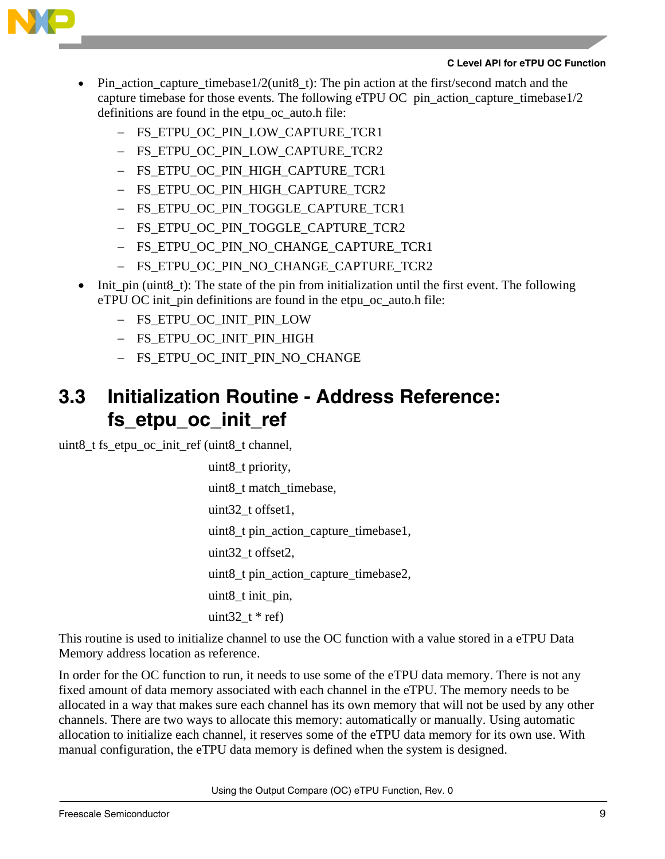

- Pin\_action\_capture\_timebase1/2(unit8\_t): The pin action at the first/second match and the capture timebase for those events. The following eTPU OC pin\_action\_capture\_timebase $1/2$ definitions are found in the etpu\_oc\_auto.h file:
	- − FS\_ETPU\_OC\_PIN\_LOW\_CAPTURE\_TCR1
	- − FS\_ETPU\_OC\_PIN\_LOW\_CAPTURE\_TCR2
	- − FS\_ETPU\_OC\_PIN\_HIGH\_CAPTURE\_TCR1
	- − FS\_ETPU\_OC\_PIN\_HIGH\_CAPTURE\_TCR2
	- − FS\_ETPU\_OC\_PIN\_TOGGLE\_CAPTURE\_TCR1
	- − FS\_ETPU\_OC\_PIN\_TOGGLE\_CAPTURE\_TCR2
	- − FS\_ETPU\_OC\_PIN\_NO\_CHANGE\_CAPTURE\_TCR1
	- − FS\_ETPU\_OC\_PIN\_NO\_CHANGE\_CAPTURE\_TCR2
- Init pin (uint8 t): The state of the pin from initialization until the first event. The following eTPU OC init\_pin definitions are found in the etpu\_oc\_auto.h file:
	- − FS\_ETPU\_OC\_INIT\_PIN\_LOW
	- − FS\_ETPU\_OC\_INIT\_PIN\_HIGH
	- − FS\_ETPU\_OC\_INIT\_PIN\_NO\_CHANGE

### **3.3 Initialization Routine - Address Reference: fs\_etpu\_oc\_init\_ref**

uint8\_t fs\_etpu\_oc\_init\_ref (uint8\_t channel,

uint8 t priority, uint8\_t match\_timebase, uint32 t offset1, uint8 t pin\_action\_capture\_timebase1, uint32\_t offset2, uint8 t pin\_action\_capture\_timebase2, uint8\_t init\_pin, uint $32_t * ref$ 

This routine is used to initialize channel to use the OC function with a value stored in a eTPU Data Memory address location as reference.

In order for the OC function to run, it needs to use some of the eTPU data memory. There is not any fixed amount of data memory associated with each channel in the eTPU. The memory needs to be allocated in a way that makes sure each channel has its own memory that will not be used by any other channels. There are two ways to allocate this memory: automatically or manually. Using automatic allocation to initialize each channel, it reserves some of the eTPU data memory for its own use. With manual configuration, the eTPU data memory is defined when the system is designed.

Using the Output Compare (OC) eTPU Function, Rev. 0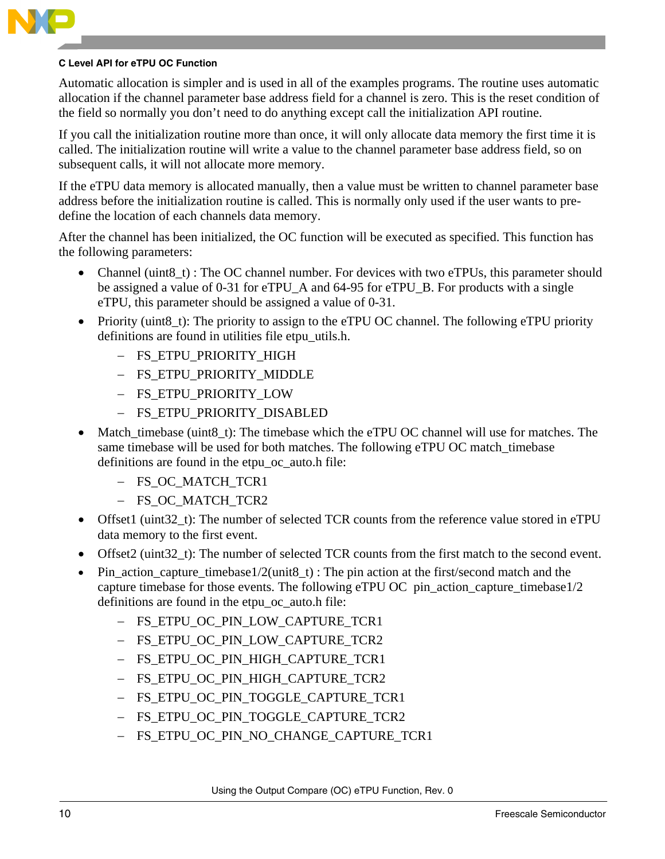

Automatic allocation is simpler and is used in all of the examples programs. The routine uses automatic allocation if the channel parameter base address field for a channel is zero. This is the reset condition of the field so normally you don't need to do anything except call the initialization API routine.

If you call the initialization routine more than once, it will only allocate data memory the first time it is called. The initialization routine will write a value to the channel parameter base address field, so on subsequent calls, it will not allocate more memory.

If the eTPU data memory is allocated manually, then a value must be written to channel parameter base address before the initialization routine is called. This is normally only used if the user wants to predefine the location of each channels data memory.

After the channel has been initialized, the OC function will be executed as specified. This function has the following parameters:

- Channel (uint8<sub>th</sub>) : The OC channel number. For devices with two eTPUs, this parameter should be assigned a value of 0-31 for eTPU\_A and 64-95 for eTPU\_B. For products with a single eTPU, this parameter should be assigned a value of 0-31.
- Priority (uint8\_t): The priority to assign to the eTPU OC channel. The following eTPU priority definitions are found in utilities file etpu\_utils.h.
	- − FS\_ETPU\_PRIORITY\_HIGH
	- − FS\_ETPU\_PRIORITY\_MIDDLE
	- − FS\_ETPU\_PRIORITY\_LOW
	- − FS\_ETPU\_PRIORITY\_DISABLED
- Match\_timebase (uint8\_t): The timebase which the eTPU OC channel will use for matches. The same timebase will be used for both matches. The following eTPU OC match\_timebase definitions are found in the etpu\_oc\_auto.h file:
	- − FS\_OC\_MATCH\_TCR1
	- − FS\_OC\_MATCH\_TCR2
- Offset1 (uint32 t): The number of selected TCR counts from the reference value stored in eTPU data memory to the first event.
- Offset2 (uint32\_t): The number of selected TCR counts from the first match to the second event.
- Pin\_action\_capture\_timebase1/2(unit8\_t) : The pin action at the first/second match and the capture timebase for those events. The following eTPU OC pin action capture timebase1/2 definitions are found in the etpu\_oc\_auto.h file:
	- − FS\_ETPU\_OC\_PIN\_LOW\_CAPTURE\_TCR1
	- − FS\_ETPU\_OC\_PIN\_LOW\_CAPTURE\_TCR2
	- − FS\_ETPU\_OC\_PIN\_HIGH\_CAPTURE\_TCR1
	- − FS\_ETPU\_OC\_PIN\_HIGH\_CAPTURE\_TCR2
	- − FS\_ETPU\_OC\_PIN\_TOGGLE\_CAPTURE\_TCR1
	- − FS\_ETPU\_OC\_PIN\_TOGGLE\_CAPTURE\_TCR2
	- − FS\_ETPU\_OC\_PIN\_NO\_CHANGE\_CAPTURE\_TCR1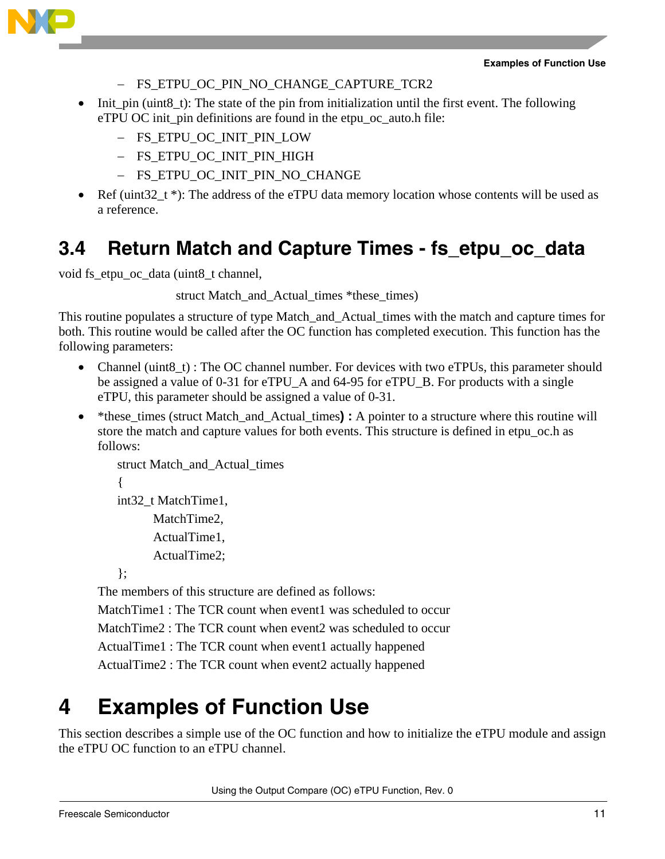



- − FS\_ETPU\_OC\_PIN\_NO\_CHANGE\_CAPTURE\_TCR2
- Init pin (uint8 t): The state of the pin from initialization until the first event. The following eTPU OC init\_pin definitions are found in the etpu\_oc\_auto.h file:
	- − FS\_ETPU\_OC\_INIT\_PIN\_LOW
	- − FS\_ETPU\_OC\_INIT\_PIN\_HIGH
	- − FS\_ETPU\_OC\_INIT\_PIN\_NO\_CHANGE
- Ref (uint32\_t \*): The address of the eTPU data memory location whose contents will be used as a reference.

### **3.4 Return Match and Capture Times - fs\_etpu\_oc\_data**

void fs\_etpu\_oc\_data (uint8\_t channel,

struct Match and Actual times \*these times)

This routine populates a structure of type Match\_and\_Actual\_times with the match and capture times for both. This routine would be called after the OC function has completed execution. This function has the following parameters:

- Channel (uint 8 t) : The OC channel number. For devices with two eTPUs, this parameter should be assigned a value of 0-31 for eTPU A and 64-95 for eTPU B. For products with a single eTPU, this parameter should be assigned a value of 0-31.
- \*these\_times (struct Match\_and\_Actual\_times**) :** A pointer to a structure where this routine will store the match and capture values for both events. This structure is defined in etpu\_oc.h as follows:

```
struct Match_and_Actual_times 
{ 
int32_t MatchTime1, 
      MatchTime2.
       ActualTime1, 
       ActualTime2;
```
};

The members of this structure are defined as follows:

MatchTime1 : The TCR count when event1 was scheduled to occur

MatchTime2 : The TCR count when event2 was scheduled to occur

ActualTime1 : The TCR count when event1 actually happened

ActualTime2 : The TCR count when event2 actually happened

# **4 Examples of Function Use**

This section describes a simple use of the OC function and how to initialize the eTPU module and assign the eTPU OC function to an eTPU channel.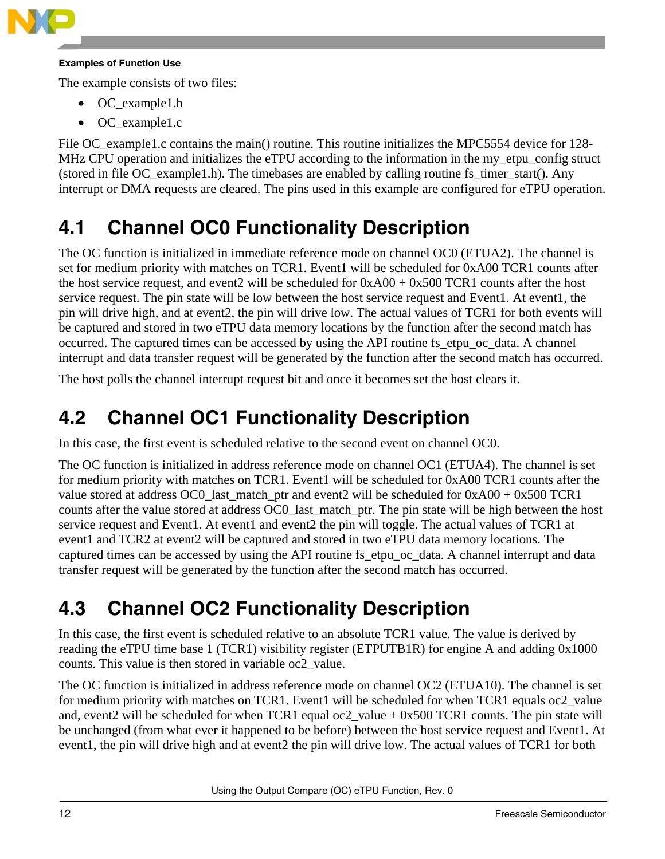

### **Examples of Function Use**

The example consists of two files:

- OC example1.h
- OC example1.c

File OC\_example1.c contains the main() routine. This routine initializes the MPC5554 device for 128-MHz CPU operation and initializes the eTPU according to the information in the my\_etpu\_config struct (stored in file OC\_example1.h). The timebases are enabled by calling routine fs\_timer\_start(). Any interrupt or DMA requests are cleared. The pins used in this example are configured for eTPU operation.

### **4.1 Channel OC0 Functionality Description**

The OC function is initialized in immediate reference mode on channel OC0 (ETUA2). The channel is set for medium priority with matches on TCR1. Event1 will be scheduled for 0xA00 TCR1 counts after the host service request, and event2 will be scheduled for  $0xA00 + 0x500$  TCR1 counts after the host service request. The pin state will be low between the host service request and Event1. At event1, the pin will drive high, and at event2, the pin will drive low. The actual values of TCR1 for both events will be captured and stored in two eTPU data memory locations by the function after the second match has occurred. The captured times can be accessed by using the API routine fs\_etpu\_oc\_data. A channel interrupt and data transfer request will be generated by the function after the second match has occurred.

The host polls the channel interrupt request bit and once it becomes set the host clears it.

### **4.2 Channel OC1 Functionality Description**

In this case, the first event is scheduled relative to the second event on channel OC0.

The OC function is initialized in address reference mode on channel OC1 (ETUA4). The channel is set for medium priority with matches on TCR1. Event1 will be scheduled for 0xA00 TCR1 counts after the value stored at address OC0\_last\_match\_ptr and event2 will be scheduled for  $0xA00 + 0x500$  TCR1 counts after the value stored at address OC0 last match ptr. The pin state will be high between the host service request and Event1. At event1 and event2 the pin will toggle. The actual values of TCR1 at event1 and TCR2 at event2 will be captured and stored in two eTPU data memory locations. The captured times can be accessed by using the API routine fs\_etpu\_oc\_data. A channel interrupt and data transfer request will be generated by the function after the second match has occurred.

## **4.3 Channel OC2 Functionality Description**

In this case, the first event is scheduled relative to an absolute TCR1 value. The value is derived by reading the eTPU time base 1 (TCR1) visibility register (ETPUTB1R) for engine A and adding 0x1000 counts. This value is then stored in variable oc2\_value.

The OC function is initialized in address reference mode on channel OC2 (ETUA10). The channel is set for medium priority with matches on TCR1. Event1 will be scheduled for when TCR1 equals oc2 value and, event2 will be scheduled for when TCR1 equal oc2\_value + 0x500 TCR1 counts. The pin state will be unchanged (from what ever it happened to be before) between the host service request and Event1. At event1, the pin will drive high and at event2 the pin will drive low. The actual values of TCR1 for both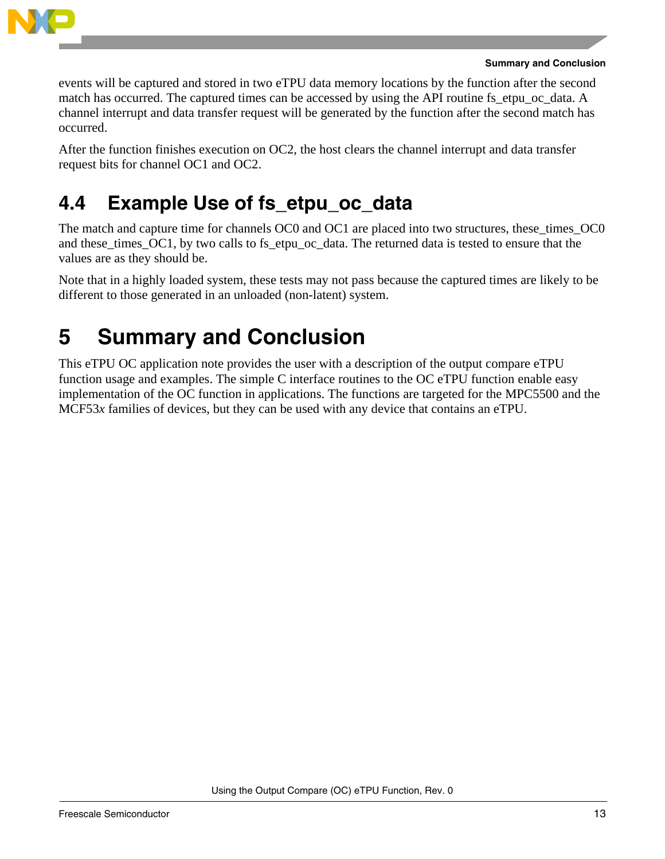

#### **Summary and Conclusion**

events will be captured and stored in two eTPU data memory locations by the function after the second match has occurred. The captured times can be accessed by using the API routine fs\_etpu\_oc\_data. A channel interrupt and data transfer request will be generated by the function after the second match has occurred.

After the function finishes execution on OC2, the host clears the channel interrupt and data transfer request bits for channel OC1 and OC2.

### **4.4 Example Use of fs\_etpu\_oc\_data**

The match and capture time for channels OC0 and OC1 are placed into two structures, these times OC0 and these\_times\_OC1, by two calls to fs\_etpu\_oc\_data. The returned data is tested to ensure that the values are as they should be.

Note that in a highly loaded system, these tests may not pass because the captured times are likely to be different to those generated in an unloaded (non-latent) system.

# **5 Summary and Conclusion**

This eTPU OC application note provides the user with a description of the output compare eTPU function usage and examples. The simple C interface routines to the OC eTPU function enable easy implementation of the OC function in applications. The functions are targeted for the MPC5500 and the MCF53*x* families of devices, but they can be used with any device that contains an eTPU.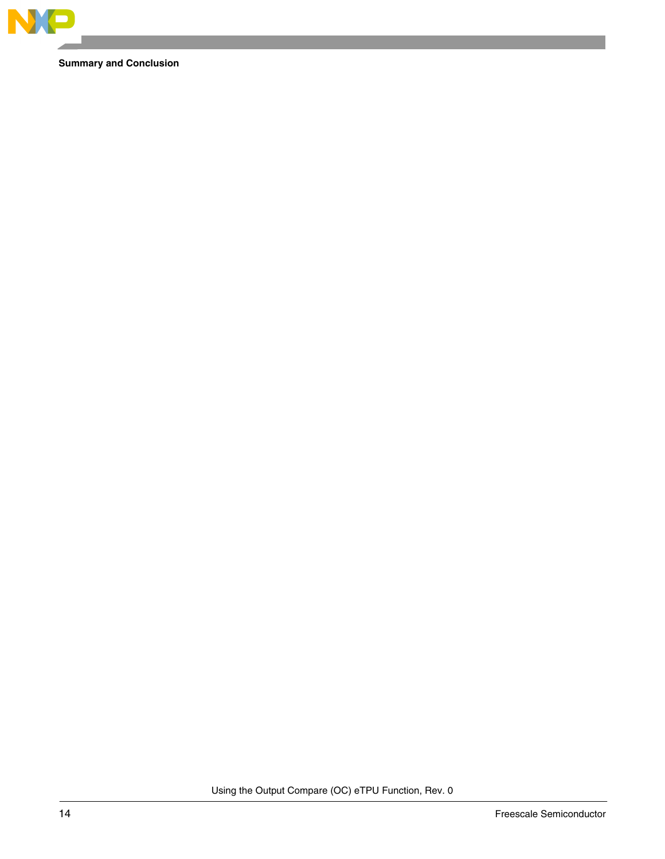

**Summary and Conclusion**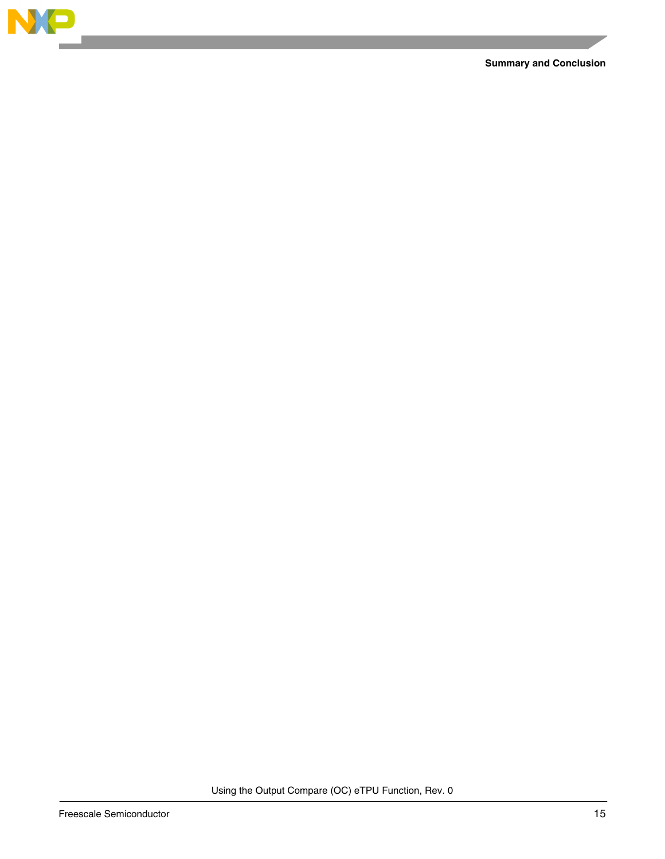

**Summary and Conclusion** 

Using the Output Compare (OC) eTPU Function, Rev. 0